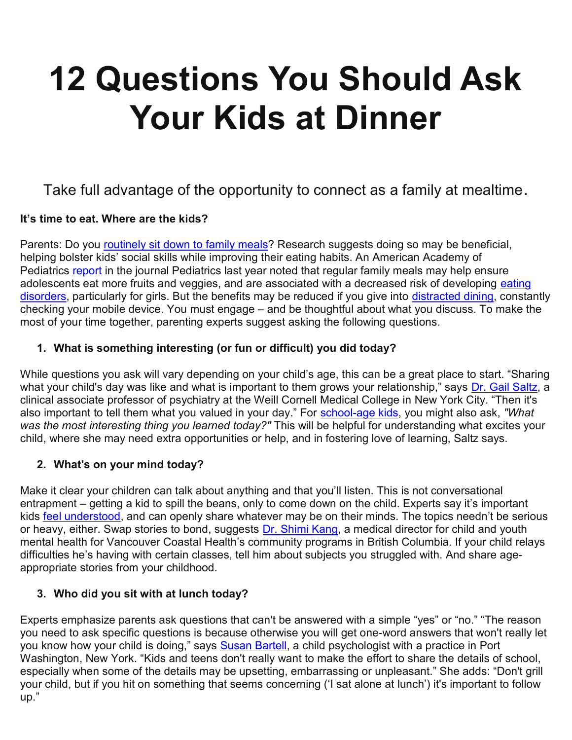# 12 Questions You Should Ask Your Kids at Dinner

# Take full advantage of the opportunity to connect as a family at mealtime.

#### It's time to eat. Where are the kids?

Parents: Do you routinely sit down to family meals? Research suggests doing so may be beneficial, helping bolster kids' social skills while improving their eating habits. An American Academy of Pediatrics report in the journal Pediatrics last year noted that regular family meals may help ensure adolescents eat more fruits and veggies, and are associated with a decreased risk of developing eating disorders, particularly for girls. But the benefits may be reduced if you give into distracted dining, constantly checking your mobile device. You must engage – and be thoughtful about what you discuss. To make the most of your time together, parenting experts suggest asking the following questions.

#### 1. What is something interesting (or fun or difficult) you did today?

While questions you ask will vary depending on your child's age, this can be a great place to start. "Sharing what your child's day was like and what is important to them grows your relationship," says Dr. Gail Saltz, a clinical associate professor of psychiatry at the Weill Cornell Medical College in New York City. "Then it's also important to tell them what you valued in your day." For school-age kids, you might also ask, "What was the most interesting thing you learned today?" This will be helpful for understanding what excites your child, where she may need extra opportunities or help, and in fostering love of learning, Saltz says.

#### 2. What's on your mind today?

Make it clear your children can talk about anything and that you'll listen. This is not conversational entrapment – getting a kid to spill the beans, only to come down on the child. Experts say it's important kids feel understood, and can openly share whatever may be on their minds. The topics needn't be serious or heavy, either. Swap stories to bond, suggests Dr. Shimi Kang, a medical director for child and youth mental health for Vancouver Coastal Health's community programs in British Columbia. If your child relays difficulties he's having with certain classes, tell him about subjects you struggled with. And share ageappropriate stories from your childhood.

#### 3. Who did you sit with at lunch today?

Experts emphasize parents ask questions that can't be answered with a simple "yes" or "no." "The reason you need to ask specific questions is because otherwise you will get one-word answers that won't really let you know how your child is doing," says **Susan Bartell**, a child psychologist with a practice in Port Washington, New York. "Kids and teens don't really want to make the effort to share the details of school, especially when some of the details may be upsetting, embarrassing or unpleasant." She adds: "Don't grill your child, but if you hit on something that seems concerning ('I sat alone at lunch') it's important to follow up."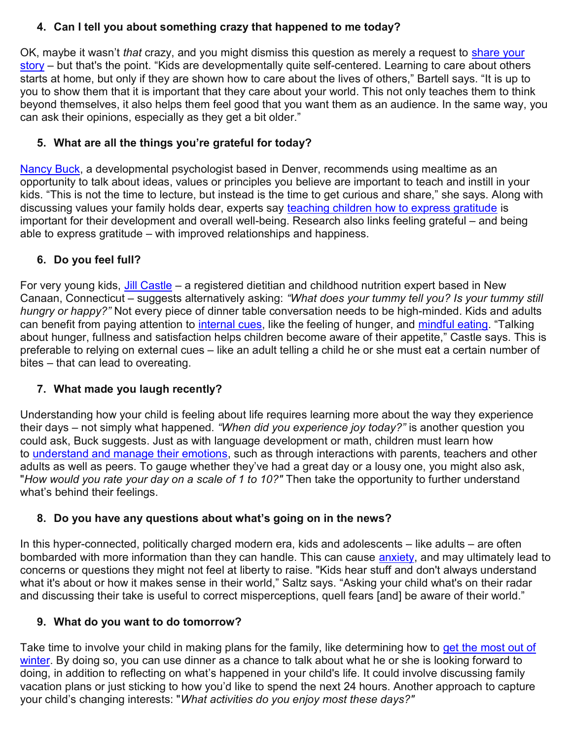## 4. Can I tell you about something crazy that happened to me today?

OK, maybe it wasn't that crazy, and you might dismiss this question as merely a request to share your story – but that's the point. "Kids are developmentally quite self-centered. Learning to care about others starts at home, but only if they are shown how to care about the lives of others," Bartell says. "It is up to you to show them that it is important that they care about your world. This not only teaches them to think beyond themselves, it also helps them feel good that you want them as an audience. In the same way, you can ask their opinions, especially as they get a bit older."

## 5. What are all the things you're grateful for today?

Nancy Buck, a developmental psychologist based in Denver, recommends using mealtime as an opportunity to talk about ideas, values or principles you believe are important to teach and instill in your kids. "This is not the time to lecture, but instead is the time to get curious and share," she says. Along with discussing values your family holds dear, experts say teaching children how to express gratitude is important for their development and overall well-being. Research also links feeling grateful – and being able to express gratitude – with improved relationships and happiness.

## 6. Do you feel full?

For very young kids, Jill Castle – a registered dietitian and childhood nutrition expert based in New Canaan, Connecticut – suggests alternatively asking: "What does your tummy tell you? Is your tummy still hungry or happy?" Not every piece of dinner table conversation needs to be high-minded. Kids and adults can benefit from paying attention to internal cues, like the feeling of hunger, and mindful eating. "Talking about hunger, fullness and satisfaction helps children become aware of their appetite," Castle says. This is preferable to relying on external cues – like an adult telling a child he or she must eat a certain number of bites – that can lead to overeating.

## 7. What made you laugh recently?

Understanding how your child is feeling about life requires learning more about the way they experience their days – not simply what happened. "When did you experience joy today?" is another question you could ask, Buck suggests. Just as with language development or math, children must learn how to understand and manage their emotions, such as through interactions with parents, teachers and other adults as well as peers. To gauge whether they've had a great day or a lousy one, you might also ask, "How would you rate your day on a scale of 1 to 10?" Then take the opportunity to further understand what's behind their feelings.

### 8. Do you have any questions about what's going on in the news?

In this hyper-connected, politically charged modern era, kids and adolescents – like adults – are often bombarded with more information than they can handle. This can cause anxiety, and may ultimately lead to concerns or questions they might not feel at liberty to raise. "Kids hear stuff and don't always understand what it's about or how it makes sense in their world," Saltz says. "Asking your child what's on their radar and discussing their take is useful to correct misperceptions, quell fears [and] be aware of their world."

### 9. What do you want to do tomorrow?

Take time to involve your child in making plans for the family, like determining how to get the most out of winter. By doing so, you can use dinner as a chance to talk about what he or she is looking forward to doing, in addition to reflecting on what's happened in your child's life. It could involve discussing family vacation plans or just sticking to how you'd like to spend the next 24 hours. Another approach to capture your child's changing interests: "What activities do you enjoy most these days?"